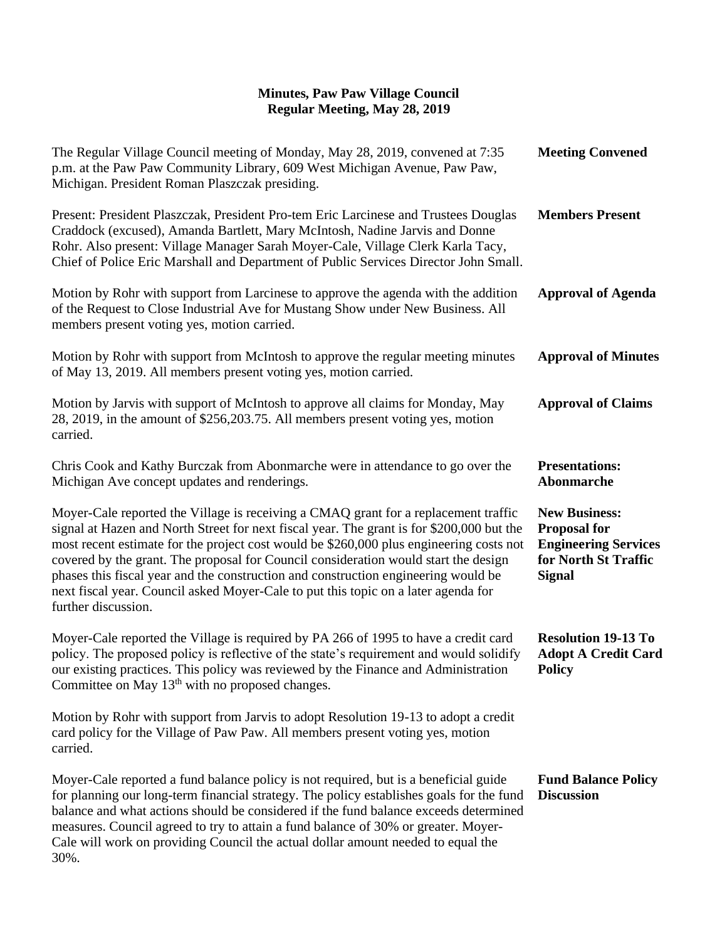| The Regular Village Council meeting of Monday, May 28, 2019, convened at 7:35<br>p.m. at the Paw Paw Community Library, 609 West Michigan Avenue, Paw Paw,<br>Michigan. President Roman Plaszczak presiding.                                                                                                                                                                                                                                                                                                                                                          | <b>Meeting Convened</b>                                                                                             |
|-----------------------------------------------------------------------------------------------------------------------------------------------------------------------------------------------------------------------------------------------------------------------------------------------------------------------------------------------------------------------------------------------------------------------------------------------------------------------------------------------------------------------------------------------------------------------|---------------------------------------------------------------------------------------------------------------------|
| Present: President Plaszczak, President Pro-tem Eric Larcinese and Trustees Douglas<br>Craddock (excused), Amanda Bartlett, Mary McIntosh, Nadine Jarvis and Donne<br>Rohr. Also present: Village Manager Sarah Moyer-Cale, Village Clerk Karla Tacy,<br>Chief of Police Eric Marshall and Department of Public Services Director John Small.                                                                                                                                                                                                                         | <b>Members Present</b>                                                                                              |
| Motion by Rohr with support from Larcinese to approve the agenda with the addition<br>of the Request to Close Industrial Ave for Mustang Show under New Business. All<br>members present voting yes, motion carried.                                                                                                                                                                                                                                                                                                                                                  | <b>Approval of Agenda</b>                                                                                           |
| Motion by Rohr with support from McIntosh to approve the regular meeting minutes<br>of May 13, 2019. All members present voting yes, motion carried.                                                                                                                                                                                                                                                                                                                                                                                                                  | <b>Approval of Minutes</b>                                                                                          |
| Motion by Jarvis with support of McIntosh to approve all claims for Monday, May<br>28, 2019, in the amount of \$256, 203.75. All members present voting yes, motion<br>carried.                                                                                                                                                                                                                                                                                                                                                                                       | <b>Approval of Claims</b>                                                                                           |
| Chris Cook and Kathy Burczak from Abonmarche were in attendance to go over the<br>Michigan Ave concept updates and renderings.                                                                                                                                                                                                                                                                                                                                                                                                                                        | <b>Presentations:</b><br>Abonmarche                                                                                 |
| Moyer-Cale reported the Village is receiving a CMAQ grant for a replacement traffic<br>signal at Hazen and North Street for next fiscal year. The grant is for \$200,000 but the<br>most recent estimate for the project cost would be \$260,000 plus engineering costs not<br>covered by the grant. The proposal for Council consideration would start the design<br>phases this fiscal year and the construction and construction engineering would be<br>next fiscal year. Council asked Moyer-Cale to put this topic on a later agenda for<br>further discussion. | <b>New Business:</b><br><b>Proposal for</b><br><b>Engineering Services</b><br>for North St Traffic<br><b>Signal</b> |
| Moyer-Cale reported the Village is required by PA 266 of 1995 to have a credit card<br>policy. The proposed policy is reflective of the state's requirement and would solidify<br>our existing practices. This policy was reviewed by the Finance and Administration<br>Committee on May $13th$ with no proposed changes.                                                                                                                                                                                                                                             | <b>Resolution 19-13 To</b><br><b>Adopt A Credit Card</b><br><b>Policy</b>                                           |
| Motion by Rohr with support from Jarvis to adopt Resolution 19-13 to adopt a credit<br>card policy for the Village of Paw Paw. All members present voting yes, motion<br>carried.                                                                                                                                                                                                                                                                                                                                                                                     |                                                                                                                     |
| Moyer-Cale reported a fund balance policy is not required, but is a beneficial guide<br>for planning our long-term financial strategy. The policy establishes goals for the fund<br>balance and what actions should be considered if the fund balance exceeds determined<br>measures. Council agreed to try to attain a fund balance of 30% or greater. Moyer-<br>Cale will work on providing Council the actual dollar amount needed to equal the<br>30%.                                                                                                            | <b>Fund Balance Policy</b><br><b>Discussion</b>                                                                     |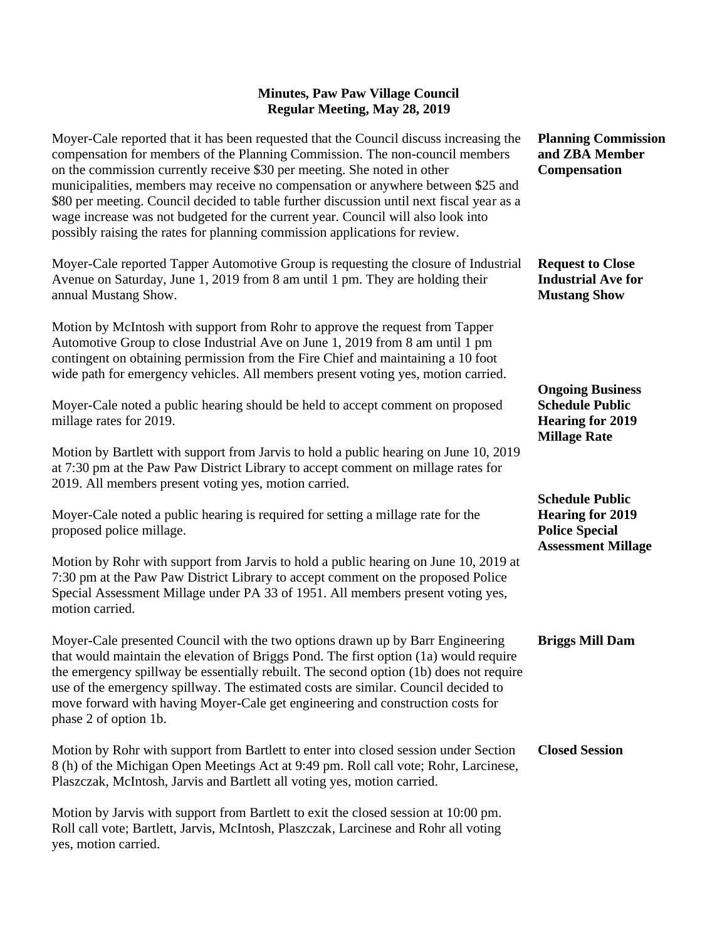| Moyer-Cale reported that it has been requested that the Council discuss increasing the<br>compensation for members of the Planning Commission. The non-council members<br>on the commission currently receive \$30 per meeting. She noted in other<br>municipalities, members may receive no compensation or anywhere between \$25 and<br>\$80 per meeting. Council decided to table further discussion until next fiscal year as a<br>wage increase was not budgeted for the current year. Council will also look into<br>possibly raising the rates for planning commission applications for review. | <b>Planning Commission</b><br>and ZBA Member<br><b>Compensation</b>                                     |
|--------------------------------------------------------------------------------------------------------------------------------------------------------------------------------------------------------------------------------------------------------------------------------------------------------------------------------------------------------------------------------------------------------------------------------------------------------------------------------------------------------------------------------------------------------------------------------------------------------|---------------------------------------------------------------------------------------------------------|
| Moyer-Cale reported Tapper Automotive Group is requesting the closure of Industrial<br>Avenue on Saturday, June 1, 2019 from 8 am until 1 pm. They are holding their<br>annual Mustang Show.                                                                                                                                                                                                                                                                                                                                                                                                           | <b>Request to Close</b><br><b>Industrial Ave for</b><br><b>Mustang Show</b>                             |
| Motion by McIntosh with support from Rohr to approve the request from Tapper<br>Automotive Group to close Industrial Ave on June 1, 2019 from 8 am until 1 pm<br>contingent on obtaining permission from the Fire Chief and maintaining a 10 foot<br>wide path for emergency vehicles. All members present voting yes, motion carried.                                                                                                                                                                                                                                                                 |                                                                                                         |
| Moyer-Cale noted a public hearing should be held to accept comment on proposed<br>millage rates for 2019.                                                                                                                                                                                                                                                                                                                                                                                                                                                                                              | <b>Ongoing Business</b><br><b>Schedule Public</b><br><b>Hearing for 2019</b><br><b>Millage Rate</b>     |
| Motion by Bartlett with support from Jarvis to hold a public hearing on June 10, 2019<br>at 7:30 pm at the Paw Paw District Library to accept comment on millage rates for<br>2019. All members present voting yes, motion carried.                                                                                                                                                                                                                                                                                                                                                                    |                                                                                                         |
| Moyer-Cale noted a public hearing is required for setting a millage rate for the<br>proposed police millage.                                                                                                                                                                                                                                                                                                                                                                                                                                                                                           | <b>Schedule Public</b><br><b>Hearing for 2019</b><br><b>Police Special</b><br><b>Assessment Millage</b> |
| Motion by Rohr with support from Jarvis to hold a public hearing on June 10, 2019 at<br>7:30 pm at the Paw Paw District Library to accept comment on the proposed Police<br>Special Assessment Millage under PA 33 of 1951. All members present voting yes,<br>motion carried.                                                                                                                                                                                                                                                                                                                         |                                                                                                         |
| Moyer-Cale presented Council with the two options drawn up by Barr Engineering<br>that would maintain the elevation of Briggs Pond. The first option (1a) would require<br>the emergency spillway be essentially rebuilt. The second option (1b) does not require<br>use of the emergency spillway. The estimated costs are similar. Council decided to<br>move forward with having Moyer-Cale get engineering and construction costs for<br>phase 2 of option 1b.                                                                                                                                     | <b>Briggs Mill Dam</b>                                                                                  |
| Motion by Rohr with support from Bartlett to enter into closed session under Section<br>8 (h) of the Michigan Open Meetings Act at 9:49 pm. Roll call vote; Rohr, Larcinese,<br>Plaszczak, McIntosh, Jarvis and Bartlett all voting yes, motion carried.                                                                                                                                                                                                                                                                                                                                               | <b>Closed Session</b>                                                                                   |
| Motion by Jarvis with support from Bartlett to exit the closed session at 10:00 pm.<br>Roll call vote; Bartlett, Jarvis, McIntosh, Plaszczak, Larcinese and Rohr all voting                                                                                                                                                                                                                                                                                                                                                                                                                            |                                                                                                         |

yes, motion carried.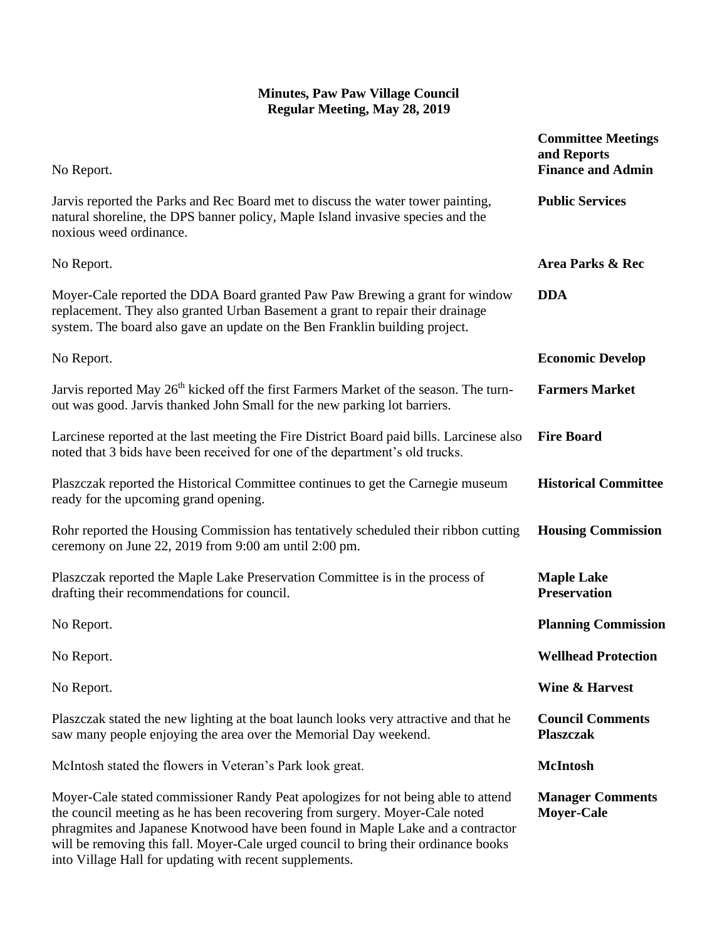| No Report.                                                                                                                                                                                                                                                                                                                                  | <b>Committee Meetings</b><br>and Reports<br><b>Finance and Admin</b> |
|---------------------------------------------------------------------------------------------------------------------------------------------------------------------------------------------------------------------------------------------------------------------------------------------------------------------------------------------|----------------------------------------------------------------------|
| Jarvis reported the Parks and Rec Board met to discuss the water tower painting,<br>natural shoreline, the DPS banner policy, Maple Island invasive species and the<br>noxious weed ordinance.                                                                                                                                              | <b>Public Services</b>                                               |
| No Report.                                                                                                                                                                                                                                                                                                                                  | Area Parks & Rec                                                     |
| Moyer-Cale reported the DDA Board granted Paw Paw Brewing a grant for window<br>replacement. They also granted Urban Basement a grant to repair their drainage<br>system. The board also gave an update on the Ben Franklin building project.                                                                                               | <b>DDA</b>                                                           |
| No Report.                                                                                                                                                                                                                                                                                                                                  | <b>Economic Develop</b>                                              |
| Jarvis reported May 26 <sup>th</sup> kicked off the first Farmers Market of the season. The turn-<br>out was good. Jarvis thanked John Small for the new parking lot barriers.                                                                                                                                                              | <b>Farmers Market</b>                                                |
| Larcinese reported at the last meeting the Fire District Board paid bills. Larcinese also<br>noted that 3 bids have been received for one of the department's old trucks.                                                                                                                                                                   | <b>Fire Board</b>                                                    |
| Plaszczak reported the Historical Committee continues to get the Carnegie museum<br>ready for the upcoming grand opening.                                                                                                                                                                                                                   | <b>Historical Committee</b>                                          |
| Rohr reported the Housing Commission has tentatively scheduled their ribbon cutting<br>ceremony on June 22, 2019 from 9:00 am until 2:00 pm.                                                                                                                                                                                                | <b>Housing Commission</b>                                            |
| Plaszczak reported the Maple Lake Preservation Committee is in the process of<br>drafting their recommendations for council.                                                                                                                                                                                                                | <b>Maple Lake</b><br><b>Preservation</b>                             |
| No Report.                                                                                                                                                                                                                                                                                                                                  | <b>Planning Commission</b>                                           |
| No Report.                                                                                                                                                                                                                                                                                                                                  | <b>Wellhead Protection</b>                                           |
| No Report.                                                                                                                                                                                                                                                                                                                                  | <b>Wine &amp; Harvest</b>                                            |
| Plaszczak stated the new lighting at the boat launch looks very attractive and that he<br>saw many people enjoying the area over the Memorial Day weekend.                                                                                                                                                                                  | <b>Council Comments</b><br><b>Plaszczak</b>                          |
| McIntosh stated the flowers in Veteran's Park look great.                                                                                                                                                                                                                                                                                   | <b>McIntosh</b>                                                      |
| Moyer-Cale stated commissioner Randy Peat apologizes for not being able to attend<br>the council meeting as he has been recovering from surgery. Moyer-Cale noted<br>phragmites and Japanese Knotwood have been found in Maple Lake and a contractor<br>will be removing this fall. Moyer-Cale urged council to bring their ordinance books | <b>Manager Comments</b><br><b>Moyer-Cale</b>                         |

into Village Hall for updating with recent supplements.